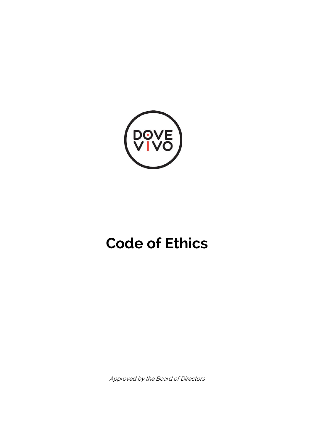

# **Code of Ethics**

Approved by the Board of Directors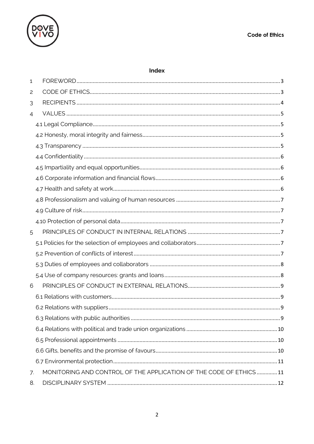

## Index

| 1  |                                                                   |  |
|----|-------------------------------------------------------------------|--|
| 2  |                                                                   |  |
| 3  |                                                                   |  |
| 4  |                                                                   |  |
|    |                                                                   |  |
|    |                                                                   |  |
|    |                                                                   |  |
|    |                                                                   |  |
|    |                                                                   |  |
|    |                                                                   |  |
|    |                                                                   |  |
|    |                                                                   |  |
|    |                                                                   |  |
|    |                                                                   |  |
| 5  |                                                                   |  |
|    |                                                                   |  |
|    |                                                                   |  |
|    |                                                                   |  |
|    |                                                                   |  |
| 6  |                                                                   |  |
|    |                                                                   |  |
|    |                                                                   |  |
|    |                                                                   |  |
|    |                                                                   |  |
|    |                                                                   |  |
|    |                                                                   |  |
|    |                                                                   |  |
| 7. | MONITORING AND CONTROL OF THE APPLICATION OF THE CODE OF ETHICS11 |  |
| 8. |                                                                   |  |
|    |                                                                   |  |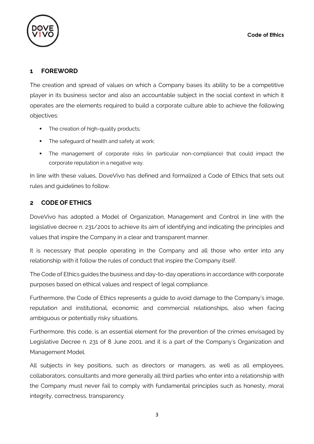

# **1 FOREWORD**

The creation and spread of values on which a Company bases its ability to be a competitive player in its business sector and also an accountable subject in the social context in which it operates are the elements required to build a corporate culture able to achieve the following objectives:

- The creation of high-quality products;
- The safeguard of health and safety at work;
- The management of corporate risks (in particular non-compliance) that could impact the corporate reputation in a negative way.

In line with these values, DoveVivo has defined and formalized a Code of Ethics that sets out rules and guidelines to follow.

# **2 CODE OF ETHICS**

DoveVivo has adopted a Model of Organization, Management and Control in line with the legislative decree n. 231/2001 to achieve its aim of identifying and indicating the principles and values that inspire the Company in a clear and transparent manner.

It is necessary that people operating in the Company and all those who enter into any relationship with it follow the rules of conduct that inspire the Company itself.

The Code of Ethics guides the business and day-to-day operations in accordance with corporate purposes based on ethical values and respect of legal compliance.

Furthermore, the Code of Ethics represents a guide to avoid damage to the Company's image, reputation and institutional, economic and commercial relationships, also when facing ambiguous or potentially risky situations.

Furthermore, this code, is an essential element for the prevention of the crimes envisaged by Legislative Decree n. 231 of 8 June 2001, and it is a part of the Company's Organization and Management Model.

All subjects in key positions, such as directors or managers, as well as all employees, collaborators, consultants and more generally all third parties who enter into a relationship with the Company must never fail to comply with fundamental principles such as honesty, moral integrity, correctness, transparency.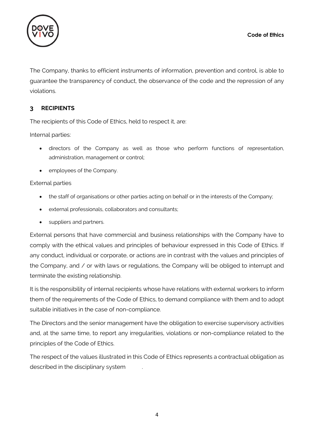

The Company, thanks to efficient instruments of information, prevention and control, is able to guarantee the transparency of conduct, the observance of the code and the repression of any violations.

# **3 RECIPIENTS**

The recipients of this Code of Ethics, held to respect it, are:

Internal parties:

- directors of the Company as well as those who perform functions of representation, administration, management or control;
- employees of the Company.

## External parties

- the staff of organisations or other parties acting on behalf or in the interests of the Company;
- external professionals, collaborators and consultants;
- suppliers and partners.

External persons that have commercial and business relationships with the Company have to comply with the ethical values and principles of behaviour expressed in this Code of Ethics. If any conduct, individual or corporate, or actions are in contrast with the values and principles of the Company, and / or with laws or regulations, the Company will be obliged to interrupt and terminate the existing relationship.

It is the responsibility of internal recipients whose have relations with external workers to inform them of the requirements of the Code of Ethics, to demand compliance with them and to adopt suitable initiatives in the case of non-compliance.

The Directors and the senior management have the obligation to exercise supervisory activities and, at the same time, to report any irregularities, violations or non-compliance related to the principles of the Code of Ethics.

The respect of the values illustrated in this Code of Ethics represents a contractual obligation as described in the disciplinary system .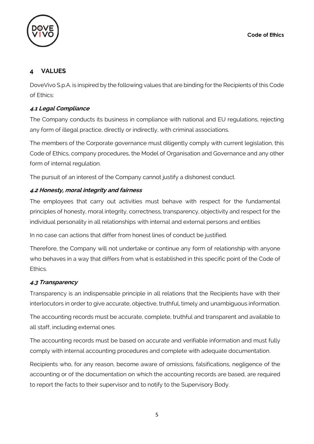

# **4 VALUES**

DoveVivo S.p.A. is inspired by the following values that are binding for the Recipients of this Code of Ethics:

# **4.1 Legal Compliance**

The Company conducts its business in compliance with national and EU regulations, rejecting any form of illegal practice, directly or indirectly, with criminal associations.

The members of the Corporate governance must diligently comply with current legislation, this Code of Ethics, company procedures, the Model of Organisation and Governance and any other form of internal regulation.

The pursuit of an interest of the Company cannot justify a dishonest conduct.

# **4.2 Honesty, moral integrity and fairness**

The employees that carry out activities must behave with respect for the fundamental principles of honesty, moral integrity, correctness, transparency, objectivity and respect for the individual personality in all relationships with internal and external persons and entities

In no case can actions that differ from honest lines of conduct be justified.

Therefore, the Company will not undertake or continue any form of relationship with anyone who behaves in a way that differs from what is established in this specific point of the Code of Ethics.

# **4.3 Transparency**

Transparency is an indispensable principle in all relations that the Recipients have with their interlocutors in order to give accurate, objective, truthful, timely and unambiguous information.

The accounting records must be accurate, complete, truthful and transparent and available to all staff, including external ones.

The accounting records must be based on accurate and verifiable information and must fully comply with internal accounting procedures and complete with adequate documentation.

Recipients who, for any reason, become aware of omissions, falsifications, negligence of the accounting or of the documentation on which the accounting records are based, are required to report the facts to their supervisor and to notify to the Supervisory Body.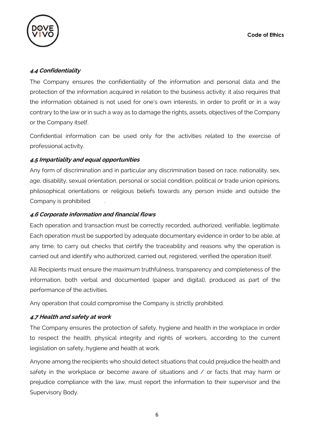

## **4.4 Confidentiality**

The Company ensures the confidentiality of the information and personal data and the protection of the information acquired in relation to the business activity; it also requires that the information obtained is not used for one's own interests, in order to profit or in a way contrary to the law or in such a way as to damage the rights, assets, objectives of the Company or the Company itself.

Confidential information can be used only for the activities related to the exercise of professional activity.

## **4.5 Impartiality and equal opportunities**

Any form of discrimination and in particular any discrimination based on race, nationality, sex, age, disability, sexual orientation, personal or social condition, political or trade union opinions, philosophical orientations or religious beliefs towards any person inside and outside the Company is prohibited .

## **4.6 Corporate information and financial flows**

Each operation and transaction must be correctly recorded, authorized, verifiable, legitimate. Each operation must be supported by adequate documentary evidence in order to be able, at any time, to carry out checks that certify the traceability and reasons why the operation is carried out and identify who authorized, carried out, registered, verified the operation itself.

All Recipients must ensure the maximum truthfulness, transparency and completeness of the information, both verbal and documented (paper and digital), produced as part of the performance of the activities.

Any operation that could compromise the Company is strictly prohibited.

## **4.7 Health and safety at work**

The Company ensures the protection of safety, hygiene and health in the workplace in order to respect the health, physical integrity and rights of workers, according to the current legislation on safety, hygiene and health at work.

Anyone among the recipients who should detect situations that could prejudice the health and safety in the workplace or become aware of situations and / or facts that may harm or prejudice compliance with the law, must report the information to their supervisor and the Supervisory Body.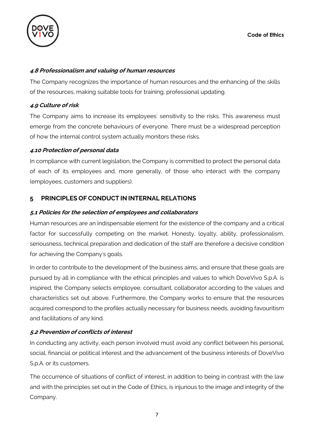

## **4.8 Professionalism and valuing of human resources**

The Company recognizes the importance of human resources and the enhancing of the skills of the resources, making suitable tools for training, professional updating.

## **4.9 Culture of risk**

The Company aims to increase its employees' sensitivity to the risks. This awareness must emerge from the concrete behaviours of everyone. There must be a widespread perception of how the internal control system actually monitors these risks.

## **4.10 Protection of personal data**

In compliance with current legislation, the Company is committed to protect the personal data of each of its employees and, more generally, of those who interact with the company (employees, customers and suppliers).

# **5 PRINCIPLES OF CONDUCT IN INTERNAL RELATIONS**

## **5.1 Policies for the selection of employees and collaborators**

Human resources are an indispensable element for the existence of the company and a critical factor for successfully competing on the market. Honesty, loyalty, ability, professionalism, seriousness, technical preparation and dedication of the staff are therefore a decisive condition for achieving the Company's goals.

In order to contribute to the development of the business aims, and ensure that these goals are pursued by all in compliance with the ethical principles and values to which DoveVivo S.p.A. is inspired, the Company selects employee, consultant, collaborator according to the values and characteristics set out above. Furthermore, the Company works to ensure that the resources acquired correspond to the profiles actually necessary for business needs, avoiding favouritism and facilitations of any kind.

# **5.2 Prevention of conflicts of interest**

In conducting any activity, each person involved must avoid any conflict between his personal, social, financial or political interest and the advancement of the business interests of DoveVivo S.p.A. or its customers.

The occurrence of situations of conflict of interest, in addition to being in contrast with the law and with the principles set out in the Code of Ethics, is injurious to the image and integrity of the Company.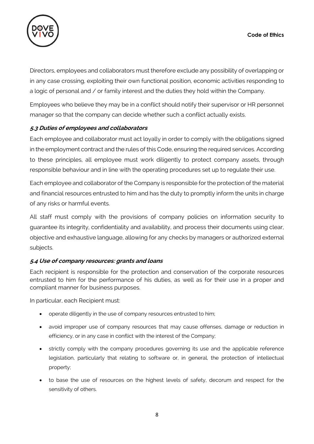

Directors, employees and collaborators must therefore exclude any possibility of overlapping or in any case crossing, exploiting their own functional position, economic activities responding to a logic of personal and / or family interest and the duties they hold within the Company.

Employees who believe they may be in a conflict should notify their supervisor or HR personnel manager so that the company can decide whether such a conflict actually exists.

# **5.3 Duties of employees and collaborators**

Each employee and collaborator must act loyally in order to comply with the obligations signed in the employment contract and the rules of this Code, ensuring the required services. According to these principles, all employee must work diligently to protect company assets, through responsible behaviour and in line with the operating procedures set up to regulate their use.

Each employee and collaborator of the Company is responsible for the protection of the material and financial resources entrusted to him and has the duty to promptly inform the units in charge of any risks or harmful events.

All staff must comply with the provisions of company policies on information security to guarantee its integrity, confidentiality and availability, and process their documents using clear, objective and exhaustive language, allowing for any checks by managers or authorized external subjects.

## **5.4 Use of company resources: grants and loans**

Each recipient is responsible for the protection and conservation of the corporate resources entrusted to him for the performance of his duties, as well as for their use in a proper and compliant manner for business purposes.

In particular, each Recipient must:

- operate diligently in the use of company resources entrusted to him;
- avoid improper use of company resources that may cause offenses, damage or reduction in efficiency, or in any case in conflict with the interest of the Company;
- strictly comply with the company procedures governing its use and the applicable reference legislation, particularly that relating to software or, in general, the protection of intellectual property;
- to base the use of resources on the highest levels of safety, decorum and respect for the sensitivity of others.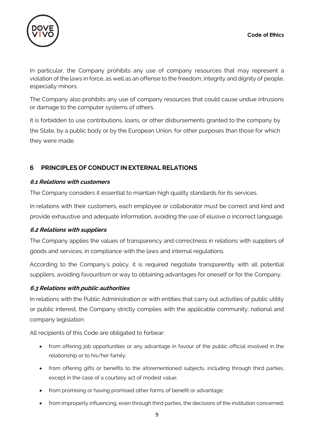

In particular, the Company prohibits any use of company resources that may represent a violation of the laws in force, as well as an offense to the freedom, integrity and dignity of people, especially minors.

The Company also prohibits any use of company resources that could cause undue intrusions or damage to the computer systems of others.

It is forbidden to use contributions, loans, or other disbursements granted to the company by the State, by a public body or by the European Union, for other purposes than those for which they were made.

# **6 PRINCIPLES OF CONDUCT IN EXTERNAL RELATIONS**

## **6.1 Relations with customers**

The Company considers it essential to maintain high quality standards for its services.

In relations with their customers, each employee or collaborator must be correct and kind and provide exhaustive and adequate information, avoiding the use of elusive o incorrect language.

## **6.2 Relations with suppliers**

The Company applies the values of transparency and correctness in relations with suppliers of goods and services, in compliance with the laws and internal regulations.

According to the Company's policy, it is required negotiate transparently with all potential suppliers, avoiding favouritism or way to obtaining advantages for oneself or for the Company.

## **6.3 Relations with public authorities**

In relations with the Public Administration or with entities that carry out activities of public utility or public interest, the Company strictly complies with the applicable community, national and company legislation.

All recipients of this Code are obligated to forbear:

- from offering job opportunities or any advantage in favour of the public official involved in the relationship or to his/her family;
- from offering gifts or benefits to the aforementioned subjects, including through third parties, except in the case of a courtesy act of modest value;
- from promising or having promised other forms of benefit or advantage;
- from improperly influencing, even through third parties, the decisions of the institution concerned;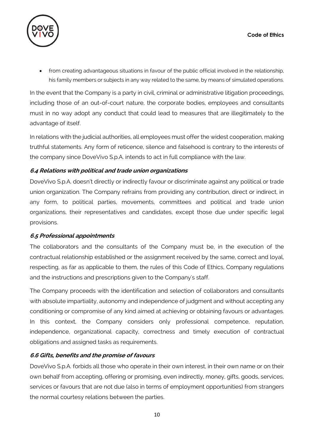

• from creating advantageous situations in favour of the public official involved in the relationship, his family members or subjects in any way related to the same, by means of simulated operations.

In the event that the Company is a party in civil, criminal or administrative litigation proceedings, including those of an out-of-court nature, the corporate bodies, employees and consultants must in no way adopt any conduct that could lead to measures that are illegitimately to the advantage of itself.

In relations with the judicial authorities, all employees must offer the widest cooperation, making truthful statements. Any form of reticence, silence and falsehood is contrary to the interests of the company since DoveVivo S.p.A. intends to act in full compliance with the law.

## **6.4 Relations with political and trade union organizations**

DoveVivo S.p.A. doesn't directly or indirectly favour or discriminate against any political or trade union organization. The Company refrains from providing any contribution, direct or indirect, in any form, to political parties, movements, committees and political and trade union organizations, their representatives and candidates, except those due under specific legal provisions.

## **6.5 Professional appointments**

The collaborators and the consultants of the Company must be, in the execution of the contractual relationship established or the assignment received by the same, correct and loyal, respecting, as far as applicable to them, the rules of this Code of Ethics, Company regulations and the instructions and prescriptions given to the Company's staff.

The Company proceeds with the identification and selection of collaborators and consultants with absolute impartiality, autonomy and independence of judgment and without accepting any conditioning or compromise of any kind aimed at achieving or obtaining favours or advantages. In this context, the Company considers only professional competence, reputation, independence, organizational capacity, correctness and timely execution of contractual obligations and assigned tasks as requirements.

## **6.6 Gifts, benefits and the promise of favours**

DoveVivo S.p.A. forbids all those who operate in their own interest, in their own name or on their own behalf from accepting, offering or promising, even indirectly, money, gifts, goods, services, services or favours that are not due (also in terms of employment opportunities) from strangers the normal courtesy relations between the parties.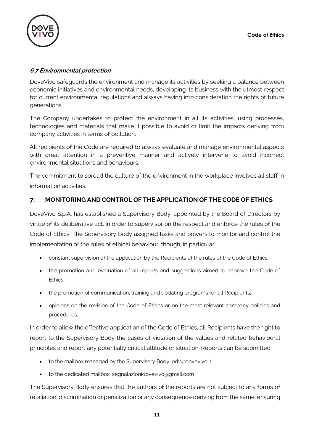

# **6.7 Environmental protection**

DoveVivo safeguards the environment and manage its activities by seeking a balance between economic initiatives and environmental needs, developing its business with the utmost respect for current environmental regulations and always having into consideration the rights of future generations.

The Company undertakes to protect the environment in all its activities, using processes, technologies and materials that make it possible to avoid or limit the impacts deriving from company activities in terms of pollution.

All recipients of the Code are required to always evaluate and manage environmental aspects with great attention in a preventive manner and actively intervene to avoid incorrect environmental situations and behaviours.

The commitment to spread the culture of the environment in the workplace involves all staff in information activities.

# **7. MONITORING AND CONTROL OF THE APPLICATION OF THE CODE OF ETHICS**

DoveVivo S.p.A. has established a Supervisory Body, appointed by the Board of Directors by virtue of its deliberative act, in order to supervisor on the respect and enforce the rules of the Code of Ethics. The Supervisory Body assigned tasks and powers to monitor and control the implementation of the rules of ethical behaviour, though, in particular:

- constant supervision of the application by the Recipients of the rules of the Code of Ethics;
- the promotion and evaluation of all reports and suggestions aimed to improve the Code of Ethics;
- the promotion of communication, training and updating programs for all Recipients;
- opinions on the revision of the Code of Ethics or on the most relevant company policies and procedures.

In order to allow the effective application of the Code of Ethics, all Recipients have the right to report to the Supervisory Body the cases of violation of the values and related behavioural principles and report any potentially critical attitude or situation. Reports can be submitted:

- to the mailbox managed by the Supervisory Body: odv@dovevivo.it
- to the dedicated mailbox: segnalazionidovevivo@gmail.com

The Supervisory Body ensures that the authors of the reports are not subject to any forms of retaliation, discrimination or penalization or any consequence deriving from the same, ensuring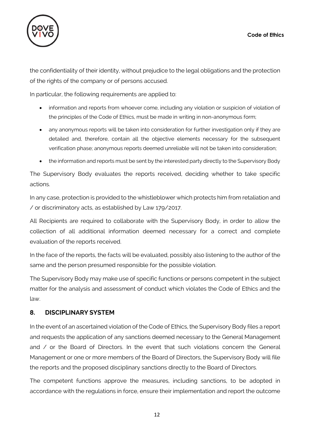

the confidentiality of their identity, without prejudice to the legal obligations and the protection of the rights of the company or of persons accused.

In particular, the following requirements are applied to:

- information and reports from whoever come, including any violation or suspicion of violation of the principles of the Code of Ethics, must be made in writing in non-anonymous form;
- any anonymous reports will be taken into consideration for further investigation only if they are detailed and, therefore, contain all the objective elements necessary for the subsequent verification phase; anonymous reports deemed unreliable will not be taken into consideration;
- the information and reports must be sent by the interested party directly to the Supervisory Body

The Supervisory Body evaluates the reports received, deciding whether to take specific actions.

In any case, protection is provided to the whistleblower which protects him from retaliation and / or discriminatory acts, as established by Law 179/2017.

All Recipients are required to collaborate with the Supervisory Body, in order to allow the collection of all additional information deemed necessary for a correct and complete evaluation of the reports received.

In the face of the reports, the facts will be evaluated, possibly also listening to the author of the same and the person presumed responsible for the possible violation.

The Supervisory Body may make use of specific functions or persons competent in the subject matter for the analysis and assessment of conduct which violates the Code of Ethics and the law.

# **8. DISCIPLINARY SYSTEM**

In the event of an ascertained violation of the Code of Ethics, the Supervisory Body files a report and requests the application of any sanctions deemed necessary to the General Management and / or the Board of Directors. In the event that such violations concern the General Management or one or more members of the Board of Directors, the Supervisory Body will file the reports and the proposed disciplinary sanctions directly to the Board of Directors.

The competent functions approve the measures, including sanctions, to be adopted in accordance with the regulations in force, ensure their implementation and report the outcome